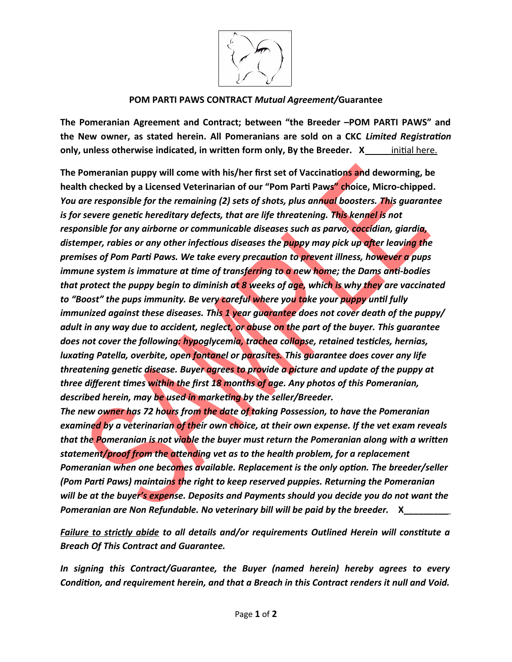

## **POM PARTI PAWS CONTRACT** *Mutual Agreement/***Guarantee**

**The Pomeranian Agreement and Contract; between "the Breeder –POM PARTI PAWS" and the New owner, as stated herein. All Pomeranians are sold on a CKC** *Limited Registration* **only, unless otherwise indicated, in written form only, By the Breeder.** X\_\_\_\_\_\_ initial here.

**The Pomeranian puppy will come with his/her first set of Vaccinations and deworming, be health checked by a Licensed Veterinarian of our "Pom Parti Paws" choice, Micro-chipped***. You are responsible for the remaining (2) sets of shots, plus annual boosters. This guarantee*  is for severe genetic hereditary defects, that are life threatening. This kennel is not *responsible for any airborne or communicable diseases such as parvo, coccidian, giardia, distemper, rabies or any other infectious diseases the puppy may pick up after leaving the premises of Pom Parti Paws. We take every precaution to prevent illness, however a pups immune system is immature at time of transferring to a new home; the Dams anti-bodies that protect the puppy begin to diminish at 8 weeks of age, which is why they are vaccinated to "Boost" the pups immunity. Be very careful where you take your puppy until fully immunized against these diseases. This 1 year guarantee does not cover death of the puppy/ adult in any way due to accident, neglect, or abuse on the part of the buyer. This guarantee does not cover the following: hypoglycemia, trachea collapse, retained testicles, hernias, luxating Patella, overbite, open fontanel or parasites. This guarantee does cover any life threatening genetic disease. Buyer agrees to provide a picture and update of the puppy at three different times within the first 18 months of age. Any photos of this Pomeranian, described herein, may be used in marketing by the seller/Breeder. The new owner has 72 hours from the date of taking Possession, to have the Pomeranian* 

*examined by a veterinarian of their own choice, at their own expense. If the vet exam reveals that the Pomeranian is not viable the buyer must return the Pomeranian along with a written statement/proof from the attending vet as to the health problem, for a replacement Pomeranian when one becomes available. Replacement is the only option. The breeder/seller (Pom Parti Paws) maintains the right to keep reserved puppies. Returning the Pomeranian will be at the buyer's expense. Deposits and Payments should you decide you do not want the Pomeranian are Non Refundable. No veterinary bill will be paid by the breeder.* X

*Failure to strictly abide to all details and/or requirements Outlined Herein will constitute a Breach Of This Contract and Guarantee.*

*In signing this Contract/Guarantee, the Buyer (named herein) hereby agrees to every Condition, and requirement herein, and that a Breach in this Contract renders it null and Void.*